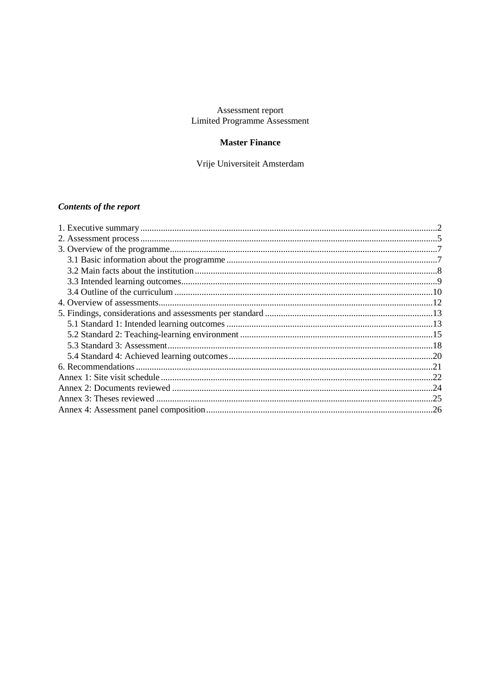## Assessment report Limited Programme Assessment

## **Master Finance**

Vrije Universiteit Amsterdam

# **Contents of the report**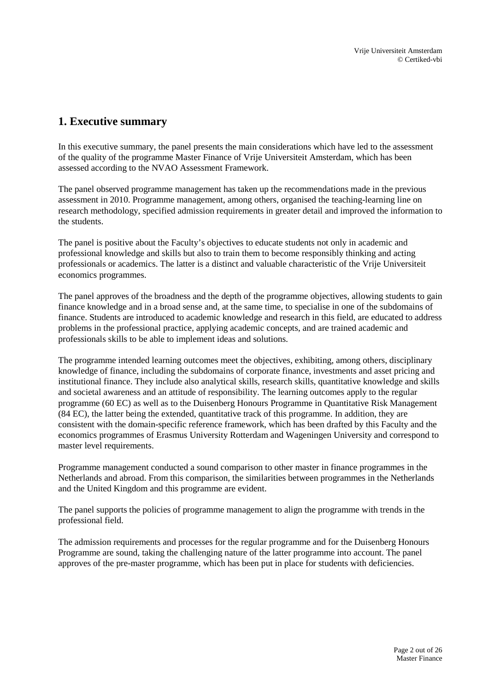# <span id="page-1-0"></span>**1. Executive summary**

In this executive summary, the panel presents the main considerations which have led to the assessment of the quality of the programme Master Finance of Vrije Universiteit Amsterdam, which has been assessed according to the NVAO Assessment Framework.

The panel observed programme management has taken up the recommendations made in the previous assessment in 2010. Programme management, among others, organised the teaching-learning line on research methodology, specified admission requirements in greater detail and improved the information to the students.

The panel is positive about the Faculty's objectives to educate students not only in academic and professional knowledge and skills but also to train them to become responsibly thinking and acting professionals or academics. The latter is a distinct and valuable characteristic of the Vrije Universiteit economics programmes.

The panel approves of the broadness and the depth of the programme objectives, allowing students to gain finance knowledge and in a broad sense and, at the same time, to specialise in one of the subdomains of finance. Students are introduced to academic knowledge and research in this field, are educated to address problems in the professional practice, applying academic concepts, and are trained academic and professionals skills to be able to implement ideas and solutions.

The programme intended learning outcomes meet the objectives, exhibiting, among others, disciplinary knowledge of finance, including the subdomains of corporate finance, investments and asset pricing and institutional finance. They include also analytical skills, research skills, quantitative knowledge and skills and societal awareness and an attitude of responsibility. The learning outcomes apply to the regular programme (60 EC) as well as to the Duisenberg Honours Programme in Quantitative Risk Management (84 EC), the latter being the extended, quantitative track of this programme. In addition, they are consistent with the domain-specific reference framework, which has been drafted by this Faculty and the economics programmes of Erasmus University Rotterdam and Wageningen University and correspond to master level requirements.

Programme management conducted a sound comparison to other master in finance programmes in the Netherlands and abroad. From this comparison, the similarities between programmes in the Netherlands and the United Kingdom and this programme are evident.

The panel supports the policies of programme management to align the programme with trends in the professional field.

The admission requirements and processes for the regular programme and for the Duisenberg Honours Programme are sound, taking the challenging nature of the latter programme into account. The panel approves of the pre-master programme, which has been put in place for students with deficiencies.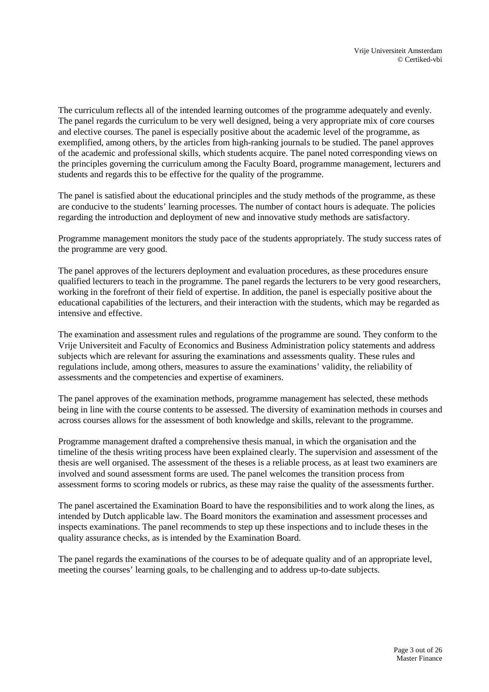The curriculum reflects all of the intended learning outcomes of the programme adequately and evenly. The panel regards the curriculum to be very well designed, being a very appropriate mix of core courses and elective courses. The panel is especially positive about the academic level of the programme, as exemplified, among others, by the articles from high-ranking journals to be studied. The panel approves of the academic and professional skills, which students acquire. The panel noted corresponding views on the principles governing the curriculum among the Faculty Board, programme management, lecturers and students and regards this to be effective for the quality of the programme.

The panel is satisfied about the educational principles and the study methods of the programme, as these are conducive to the students' learning processes. The number of contact hours is adequate. The policies regarding the introduction and deployment of new and innovative study methods are satisfactory.

Programme management monitors the study pace of the students appropriately. The study success rates of the programme are very good.

The panel approves of the lecturers deployment and evaluation procedures, as these procedures ensure qualified lecturers to teach in the programme. The panel regards the lecturers to be very good researchers, working in the forefront of their field of expertise. In addition, the panel is especially positive about the educational capabilities of the lecturers, and their interaction with the students, which may be regarded as intensive and effective.

The examination and assessment rules and regulations of the programme are sound. They conform to the Vrije Universiteit and Faculty of Economics and Business Administration policy statements and address subjects which are relevant for assuring the examinations and assessments quality. These rules and regulations include, among others, measures to assure the examinations' validity, the reliability of assessments and the competencies and expertise of examiners.

The panel approves of the examination methods, programme management has selected, these methods being in line with the course contents to be assessed. The diversity of examination methods in courses and across courses allows for the assessment of both knowledge and skills, relevant to the programme.

Programme management drafted a comprehensive thesis manual, in which the organisation and the timeline of the thesis writing process have been explained clearly. The supervision and assessment of the thesis are well organised. The assessment of the theses is a reliable process, as at least two examiners are involved and sound assessment forms are used. The panel welcomes the transition process from assessment forms to scoring models or rubrics, as these may raise the quality of the assessments further.

The panel ascertained the Examination Board to have the responsibilities and to work along the lines, as intended by Dutch applicable law. The Board monitors the examination and assessment processes and inspects examinations. The panel recommends to step up these inspections and to include theses in the quality assurance checks, as is intended by the Examination Board.

The panel regards the examinations of the courses to be of adequate quality and of an appropriate level, meeting the courses' learning goals, to be challenging and to address up-to-date subjects.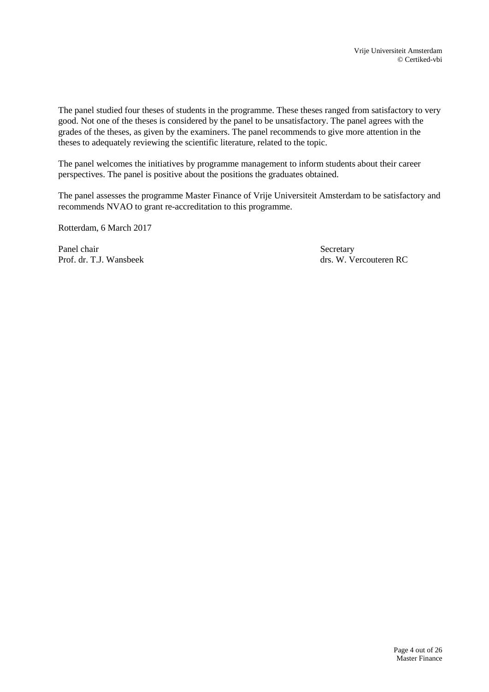The panel studied four theses of students in the programme. These theses ranged from satisfactory to very good. Not one of the theses is considered by the panel to be unsatisfactory. The panel agrees with the grades of the theses, as given by the examiners. The panel recommends to give more attention in the theses to adequately reviewing the scientific literature, related to the topic.

The panel welcomes the initiatives by programme management to inform students about their career perspectives. The panel is positive about the positions the graduates obtained.

The panel assesses the programme Master Finance of Vrije Universiteit Amsterdam to be satisfactory and recommends NVAO to grant re-accreditation to this programme.

Rotterdam, 6 March 2017

Panel chair Secretary Prof. dr. T.J. Wansbeek drs. W. Vercouteren RC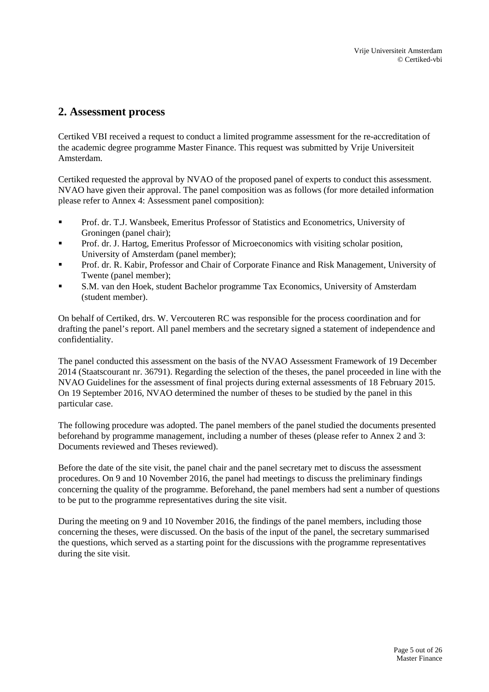## <span id="page-4-0"></span>**2. Assessment process**

Certiked VBI received a request to conduct a limited programme assessment for the re-accreditation of the academic degree programme Master Finance. This request was submitted by Vrije Universiteit Amsterdam.

Certiked requested the approval by NVAO of the proposed panel of experts to conduct this assessment. NVAO have given their approval. The panel composition was as follows (for more detailed information please refer to Annex 4: Assessment panel composition):

- Prof. dr. T.J. Wansbeek, Emeritus Professor of Statistics and Econometrics, University of Groningen (panel chair);
- Prof. dr. J. Hartog, Emeritus Professor of Microeconomics with visiting scholar position, University of Amsterdam (panel member);
- **Prof. dr. R. Kabir, Professor and Chair of Corporate Finance and Risk Management, University of** Twente (panel member);
- S.M. van den Hoek, student Bachelor programme Tax Economics, University of Amsterdam (student member).

On behalf of Certiked, drs. W. Vercouteren RC was responsible for the process coordination and for drafting the panel's report. All panel members and the secretary signed a statement of independence and confidentiality.

The panel conducted this assessment on the basis of the NVAO Assessment Framework of 19 December 2014 (Staatscourant nr. 36791). Regarding the selection of the theses, the panel proceeded in line with the NVAO Guidelines for the assessment of final projects during external assessments of 18 February 2015. On 19 September 2016, NVAO determined the number of theses to be studied by the panel in this particular case.

The following procedure was adopted. The panel members of the panel studied the documents presented beforehand by programme management, including a number of theses (please refer to Annex 2 and 3: Documents reviewed and Theses reviewed).

Before the date of the site visit, the panel chair and the panel secretary met to discuss the assessment procedures. On 9 and 10 November 2016, the panel had meetings to discuss the preliminary findings concerning the quality of the programme. Beforehand, the panel members had sent a number of questions to be put to the programme representatives during the site visit.

During the meeting on 9 and 10 November 2016, the findings of the panel members, including those concerning the theses, were discussed. On the basis of the input of the panel, the secretary summarised the questions, which served as a starting point for the discussions with the programme representatives during the site visit.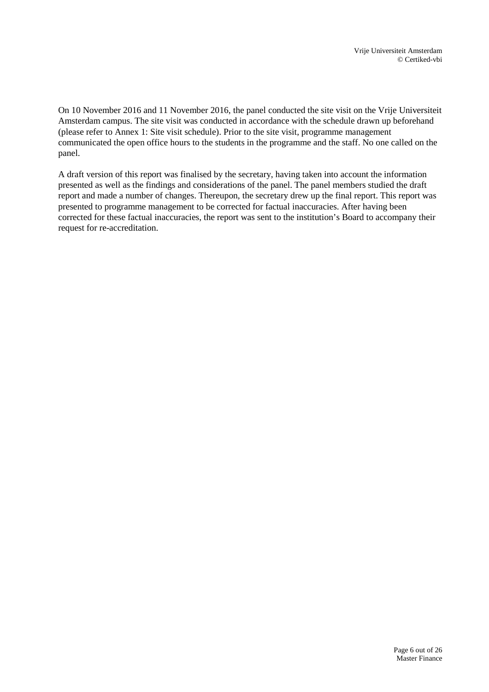On 10 November 2016 and 11 November 2016, the panel conducted the site visit on the Vrije Universiteit Amsterdam campus. The site visit was conducted in accordance with the schedule drawn up beforehand (please refer to Annex 1: Site visit schedule). Prior to the site visit, programme management communicated the open office hours to the students in the programme and the staff. No one called on the panel.

A draft version of this report was finalised by the secretary, having taken into account the information presented as well as the findings and considerations of the panel. The panel members studied the draft report and made a number of changes. Thereupon, the secretary drew up the final report. This report was presented to programme management to be corrected for factual inaccuracies. After having been corrected for these factual inaccuracies, the report was sent to the institution's Board to accompany their request for re-accreditation.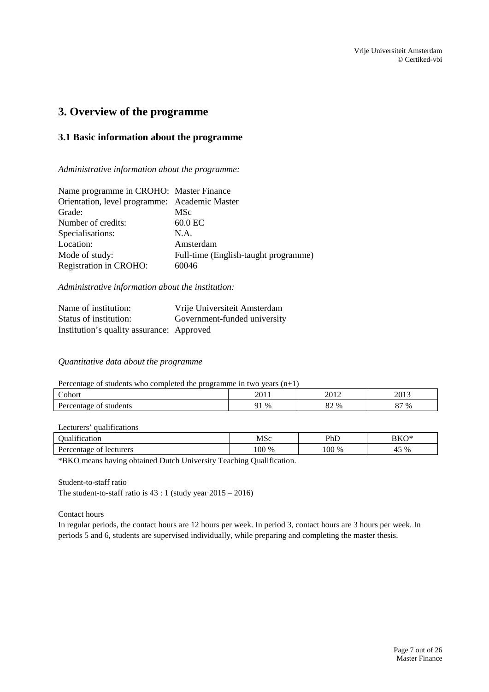## <span id="page-6-0"></span>**3. Overview of the programme**

## <span id="page-6-1"></span>**3.1 Basic information about the programme**

*Administrative information about the programme:*

| Name programme in CROHO: Master Finance       |                                      |
|-----------------------------------------------|--------------------------------------|
| Orientation, level programme: Academic Master |                                      |
| Grade:                                        | <b>MSc</b>                           |
| Number of credits:                            | 60.0 EC                              |
| Specialisations:                              | NA.                                  |
| Location:                                     | Amsterdam                            |
| Mode of study:                                | Full-time (English-taught programme) |
| Registration in CROHO:                        | 60046                                |

*Administrative information about the institution:*

| Name of institution:                      | Vrije Universiteit Amsterdam |
|-------------------------------------------|------------------------------|
| Status of institution:                    | Government-funded university |
| Institution's quality assurance: Approved |                              |

### *Quantitative data about the programme*

Percentage of students who completed the programme in two years (n+1)

| $\overline{\phantom{0}}$                             | റവ                      | 2012             | 2011 |
|------------------------------------------------------|-------------------------|------------------|------|
| ohor                                                 | 2011                    | $\omega$         | 201  |
| r<br>students<br>$\sim$ $\sim$ $\sim$<br>Λt<br>11 L. | $\%$<br>. .<br><b>I</b> | o٠<br>$\%$<br>o∠ | 87 % |

### Lecturers' qualifications

| .<br>ıcatıon<br>hıя                                                                                                                                                                                                                                                                                       | <b>MSc</b>                                                                                       | PhD   | BKO*        |  |
|-----------------------------------------------------------------------------------------------------------------------------------------------------------------------------------------------------------------------------------------------------------------------------------------------------------|--------------------------------------------------------------------------------------------------|-------|-------------|--|
| lecturers<br>taoe<br>∩1<br>Per                                                                                                                                                                                                                                                                            | 100 <sub>1</sub><br>$\%$                                                                         | 100 % | $5\%$<br>′+ |  |
| the contract of the contract of the contract of the contract of the contract of<br>the contract of the contract of the contract of the contract of<br>the control of the control of<br>the contract of the contract of<br>the contract of the contract of the contract of the contract of the contract of | the contract of the contract of the contract of the contract of<br>the control of the control of |       |             |  |

\*BKO means having obtained Dutch University Teaching Qualification.

Student-to-staff ratio

The student-to-staff ratio is  $43:1$  (study year  $2015 - 2016$ )

Contact hours

In regular periods, the contact hours are 12 hours per week. In period 3, contact hours are 3 hours per week. In periods 5 and 6, students are supervised individually, while preparing and completing the master thesis.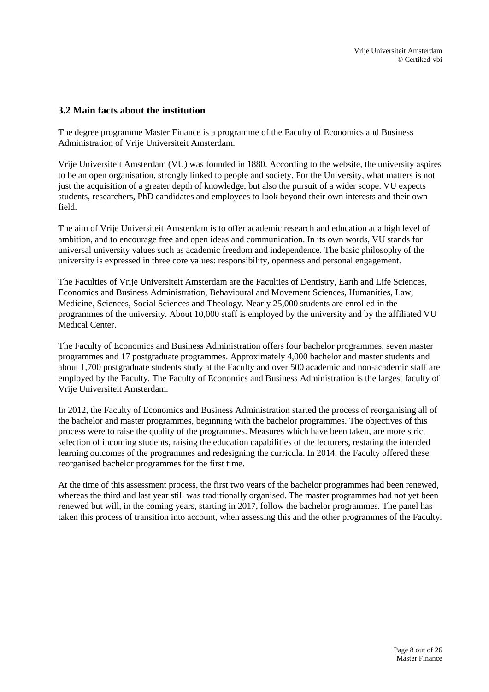### <span id="page-7-0"></span>**3.2 Main facts about the institution**

The degree programme Master Finance is a programme of the Faculty of Economics and Business Administration of Vrije Universiteit Amsterdam.

Vrije Universiteit Amsterdam (VU) was founded in 1880. According to the website, the university aspires to be an open organisation, strongly linked to people and society. For the University, what matters is not just the acquisition of a greater depth of knowledge, but also the pursuit of a wider scope. VU expects students, researchers, PhD candidates and employees to look beyond their own interests and their own field.

The aim of Vrije Universiteit Amsterdam is to offer academic research and education at a high level of ambition, and to encourage free and open ideas and communication. In its own words, VU stands for universal university values such as academic freedom and independence. The basic philosophy of the university is expressed in three core values: responsibility, openness and personal engagement.

The Faculties of Vrije Universiteit Amsterdam are the Faculties of Dentistry, Earth and Life Sciences, Economics and Business Administration, Behavioural and Movement Sciences, Humanities, Law, Medicine, Sciences, Social Sciences and Theology. Nearly 25,000 students are enrolled in the programmes of the university. About 10,000 staff is employed by the university and by the affiliated VU Medical Center.

The Faculty of Economics and Business Administration offers four bachelor programmes, seven master programmes and 17 postgraduate programmes. Approximately 4,000 bachelor and master students and about 1,700 postgraduate students study at the Faculty and over 500 academic and non-academic staff are employed by the Faculty. The Faculty of Economics and Business Administration is the largest faculty of Vrije Universiteit Amsterdam.

In 2012, the Faculty of Economics and Business Administration started the process of reorganising all of the bachelor and master programmes, beginning with the bachelor programmes. The objectives of this process were to raise the quality of the programmes. Measures which have been taken, are more strict selection of incoming students, raising the education capabilities of the lecturers, restating the intended learning outcomes of the programmes and redesigning the curricula. In 2014, the Faculty offered these reorganised bachelor programmes for the first time.

At the time of this assessment process, the first two years of the bachelor programmes had been renewed, whereas the third and last year still was traditionally organised. The master programmes had not yet been renewed but will, in the coming years, starting in 2017, follow the bachelor programmes. The panel has taken this process of transition into account, when assessing this and the other programmes of the Faculty.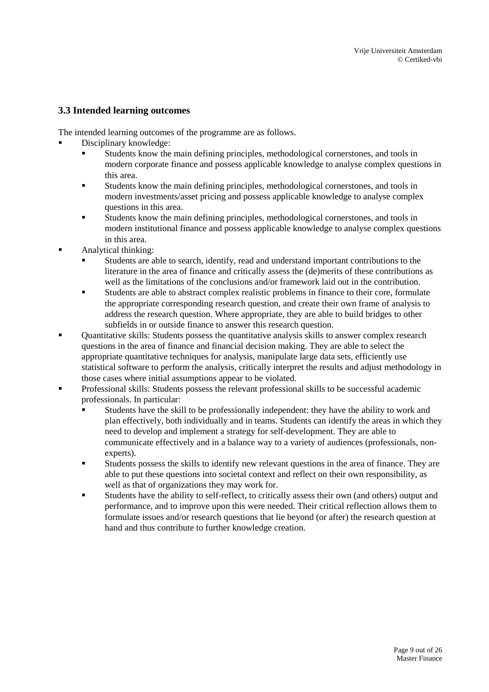## <span id="page-8-0"></span>**3.3 Intended learning outcomes**

The intended learning outcomes of the programme are as follows.

Disciplinary knowledge:

- Students know the main defining principles, methodological cornerstones, and tools in modern corporate finance and possess applicable knowledge to analyse complex questions in this area.
- Students know the main defining principles, methodological cornerstones, and tools in modern investments/asset pricing and possess applicable knowledge to analyse complex questions in this area.
- Students know the main defining principles, methodological cornerstones, and tools in modern institutional finance and possess applicable knowledge to analyse complex questions in this area.
- Analytical thinking:
	- Students are able to search, identify, read and understand important contributions to the literature in the area of finance and critically assess the (de)merits of these contributions as well as the limitations of the conclusions and/or framework laid out in the contribution.
	- Students are able to abstract complex realistic problems in finance to their core, formulate the appropriate corresponding research question, and create their own frame of analysis to address the research question. Where appropriate, they are able to build bridges to other subfields in or outside finance to answer this research question.
- Quantitative skills: Students possess the quantitative analysis skills to answer complex research questions in the area of finance and financial decision making. They are able to select the appropriate quantitative techniques for analysis, manipulate large data sets, efficiently use statistical software to perform the analysis, critically interpret the results and adjust methodology in those cases where initial assumptions appear to be violated.
- Professional skills: Students possess the relevant professional skills to be successful academic professionals. In particular:
	- Students have the skill to be professionally independent: they have the ability to work and plan effectively, both individually and in teams. Students can identify the areas in which they need to develop and implement a strategy for self-development. They are able to communicate effectively and in a balance way to a variety of audiences (professionals, nonexperts).
	- Students possess the skills to identify new relevant questions in the area of finance. They are able to put these questions into societal context and reflect on their own responsibility, as well as that of organizations they may work for.
	- Students have the ability to self-reflect, to critically assess their own (and others) output and performance, and to improve upon this were needed. Their critical reflection allows them to formulate issues and/or research questions that lie beyond (or after) the research question at hand and thus contribute to further knowledge creation.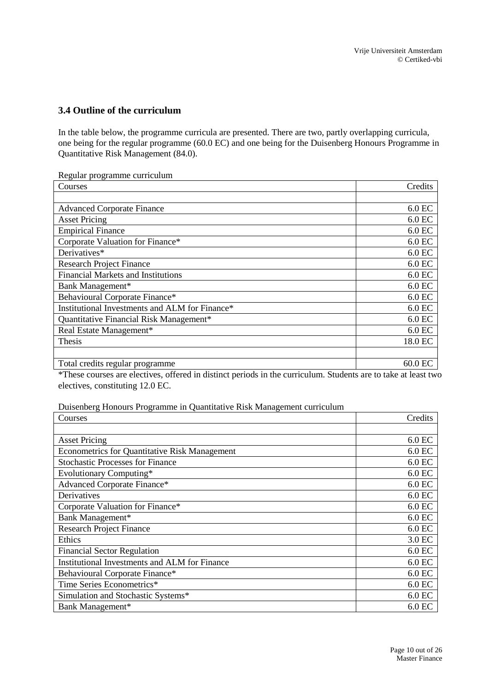## <span id="page-9-0"></span>**3.4 Outline of the curriculum**

In the table below, the programme curricula are presented. There are two, partly overlapping curricula, one being for the regular programme (60.0 EC) and one being for the Duisenberg Honours Programme in Quantitative Risk Management (84.0).

Regular programme curriculum

| Courses                                        | Credits   |
|------------------------------------------------|-----------|
|                                                |           |
| <b>Advanced Corporate Finance</b>              | $6.0$ EC  |
| <b>Asset Pricing</b>                           | $6.0$ EC  |
| <b>Empirical Finance</b>                       | $6.0$ EC  |
| Corporate Valuation for Finance*               | $6.0$ EC  |
| Derivatives*                                   | 6.0 EC    |
| <b>Research Project Finance</b>                | $6.0$ EC  |
| <b>Financial Markets and Institutions</b>      | $6.0$ EC  |
| Bank Management*                               | 6.0 EC    |
| Behavioural Corporate Finance*                 | $6.0$ EC  |
| Institutional Investments and ALM for Finance* | $6.0$ EC  |
| Quantitative Financial Risk Management*        | $6.0$ EC  |
| Real Estate Management*                        | $6.0$ EC  |
| Thesis                                         | 18.0 EC   |
|                                                |           |
| Total credits regular programme                | $60.0$ EC |

\*These courses are electives, offered in distinct periods in the curriculum. Students are to take at least two electives, constituting 12.0 EC.

Duisenberg Honours Programme in Quantitative Risk Management curriculum

| Courses                                              | Credits  |
|------------------------------------------------------|----------|
|                                                      |          |
| <b>Asset Pricing</b>                                 | $6.0$ EC |
| <b>Econometrics for Quantitative Risk Management</b> | $6.0$ EC |
| <b>Stochastic Processes for Finance</b>              | $6.0$ EC |
| Evolutionary Computing*                              | $6.0$ EC |
| <b>Advanced Corporate Finance*</b>                   | $6.0$ EC |
| Derivatives                                          | $6.0$ EC |
| Corporate Valuation for Finance*                     | $6.0$ EC |
| Bank Management*                                     | $6.0$ EC |
| <b>Research Project Finance</b>                      | $6.0$ EC |
| Ethics                                               | 3.0 EC   |
| <b>Financial Sector Regulation</b>                   | $6.0$ EC |
| Institutional Investments and ALM for Finance        | $6.0$ EC |
| Behavioural Corporate Finance*                       | $6.0$ EC |
| Time Series Econometrics*                            | $6.0$ EC |
| Simulation and Stochastic Systems*                   | $6.0$ EC |
| Bank Management*                                     | $6.0$ EC |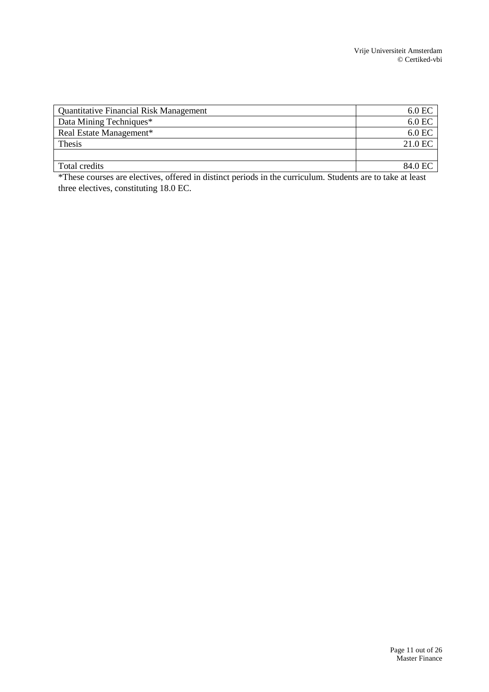| <b>Quantitative Financial Risk Management</b> | $6.0$ EC |
|-----------------------------------------------|----------|
| Data Mining Techniques*                       | 6.0 EC   |
| Real Estate Management*                       | 6.0 EC   |
| Thesis                                        | 21.0 EC  |
|                                               |          |
| Total credits                                 | 84.0 EC  |
|                                               |          |

\*These courses are electives, offered in distinct periods in the curriculum. Students are to take at least three electives, constituting 18.0 EC.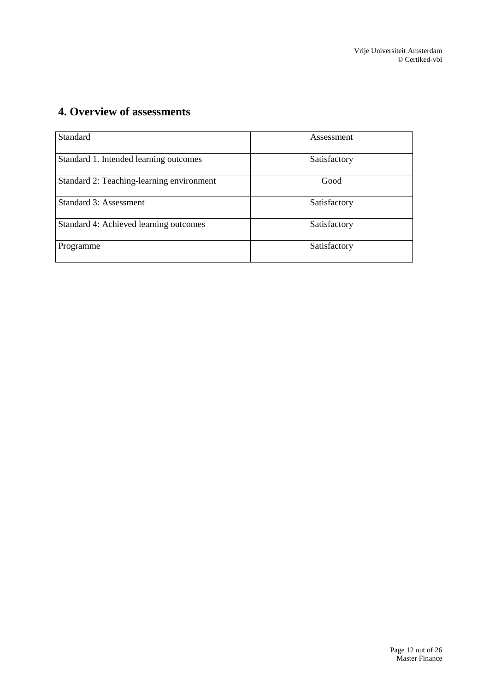# <span id="page-11-0"></span>**4. Overview of assessments**

| Standard                                  | Assessment   |
|-------------------------------------------|--------------|
| Standard 1. Intended learning outcomes    | Satisfactory |
| Standard 2: Teaching-learning environment | Good         |
| Standard 3: Assessment                    | Satisfactory |
| Standard 4: Achieved learning outcomes    | Satisfactory |
| Programme                                 | Satisfactory |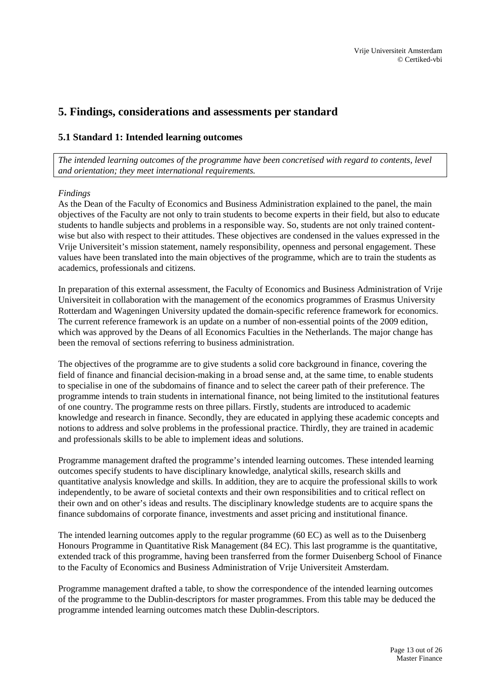## <span id="page-12-0"></span>**5. Findings, considerations and assessments per standard**

## <span id="page-12-1"></span>**5.1 Standard 1: Intended learning outcomes**

*The intended learning outcomes of the programme have been concretised with regard to contents, level and orientation; they meet international requirements.*

### *Findings*

As the Dean of the Faculty of Economics and Business Administration explained to the panel, the main objectives of the Faculty are not only to train students to become experts in their field, but also to educate students to handle subjects and problems in a responsible way. So, students are not only trained contentwise but also with respect to their attitudes. These objectives are condensed in the values expressed in the Vrije Universiteit's mission statement, namely responsibility, openness and personal engagement. These values have been translated into the main objectives of the programme, which are to train the students as academics, professionals and citizens.

In preparation of this external assessment, the Faculty of Economics and Business Administration of Vrije Universiteit in collaboration with the management of the economics programmes of Erasmus University Rotterdam and Wageningen University updated the domain-specific reference framework for economics. The current reference framework is an update on a number of non-essential points of the 2009 edition, which was approved by the Deans of all Economics Faculties in the Netherlands. The major change has been the removal of sections referring to business administration.

The objectives of the programme are to give students a solid core background in finance, covering the field of finance and financial decision-making in a broad sense and, at the same time, to enable students to specialise in one of the subdomains of finance and to select the career path of their preference. The programme intends to train students in international finance, not being limited to the institutional features of one country. The programme rests on three pillars. Firstly, students are introduced to academic knowledge and research in finance. Secondly, they are educated in applying these academic concepts and notions to address and solve problems in the professional practice. Thirdly, they are trained in academic and professionals skills to be able to implement ideas and solutions.

Programme management drafted the programme's intended learning outcomes. These intended learning outcomes specify students to have disciplinary knowledge, analytical skills, research skills and quantitative analysis knowledge and skills. In addition, they are to acquire the professional skills to work independently, to be aware of societal contexts and their own responsibilities and to critical reflect on their own and on other's ideas and results. The disciplinary knowledge students are to acquire spans the finance subdomains of corporate finance, investments and asset pricing and institutional finance.

The intended learning outcomes apply to the regular programme (60 EC) as well as to the Duisenberg Honours Programme in Quantitative Risk Management (84 EC). This last programme is the quantitative, extended track of this programme, having been transferred from the former Duisenberg School of Finance to the Faculty of Economics and Business Administration of Vrije Universiteit Amsterdam.

Programme management drafted a table, to show the correspondence of the intended learning outcomes of the programme to the Dublin-descriptors for master programmes. From this table may be deduced the programme intended learning outcomes match these Dublin-descriptors.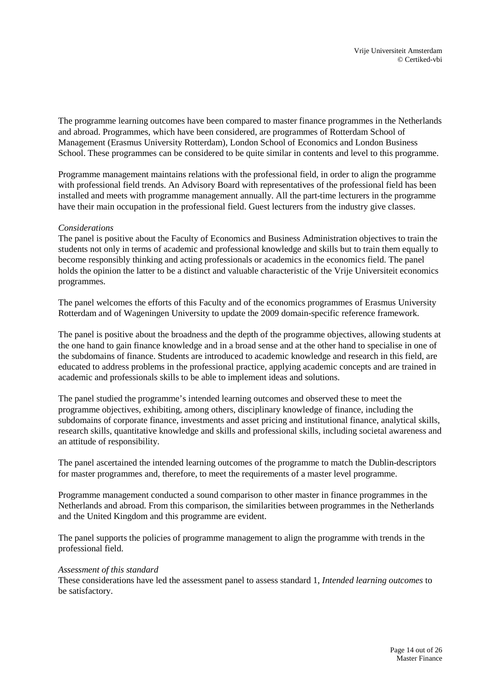The programme learning outcomes have been compared to master finance programmes in the Netherlands and abroad. Programmes, which have been considered, are programmes of Rotterdam School of Management (Erasmus University Rotterdam), London School of Economics and London Business School. These programmes can be considered to be quite similar in contents and level to this programme.

Programme management maintains relations with the professional field, in order to align the programme with professional field trends. An Advisory Board with representatives of the professional field has been installed and meets with programme management annually. All the part-time lecturers in the programme have their main occupation in the professional field. Guest lecturers from the industry give classes.

### *Considerations*

The panel is positive about the Faculty of Economics and Business Administration objectives to train the students not only in terms of academic and professional knowledge and skills but to train them equally to become responsibly thinking and acting professionals or academics in the economics field. The panel holds the opinion the latter to be a distinct and valuable characteristic of the Vrije Universiteit economics programmes.

The panel welcomes the efforts of this Faculty and of the economics programmes of Erasmus University Rotterdam and of Wageningen University to update the 2009 domain-specific reference framework.

The panel is positive about the broadness and the depth of the programme objectives, allowing students at the one hand to gain finance knowledge and in a broad sense and at the other hand to specialise in one of the subdomains of finance. Students are introduced to academic knowledge and research in this field, are educated to address problems in the professional practice, applying academic concepts and are trained in academic and professionals skills to be able to implement ideas and solutions.

The panel studied the programme's intended learning outcomes and observed these to meet the programme objectives, exhibiting, among others, disciplinary knowledge of finance, including the subdomains of corporate finance, investments and asset pricing and institutional finance, analytical skills, research skills, quantitative knowledge and skills and professional skills, including societal awareness and an attitude of responsibility.

The panel ascertained the intended learning outcomes of the programme to match the Dublin-descriptors for master programmes and, therefore, to meet the requirements of a master level programme.

Programme management conducted a sound comparison to other master in finance programmes in the Netherlands and abroad. From this comparison, the similarities between programmes in the Netherlands and the United Kingdom and this programme are evident.

The panel supports the policies of programme management to align the programme with trends in the professional field.

#### *Assessment of this standard*

These considerations have led the assessment panel to assess standard 1, *Intended learning outcomes* to be satisfactory.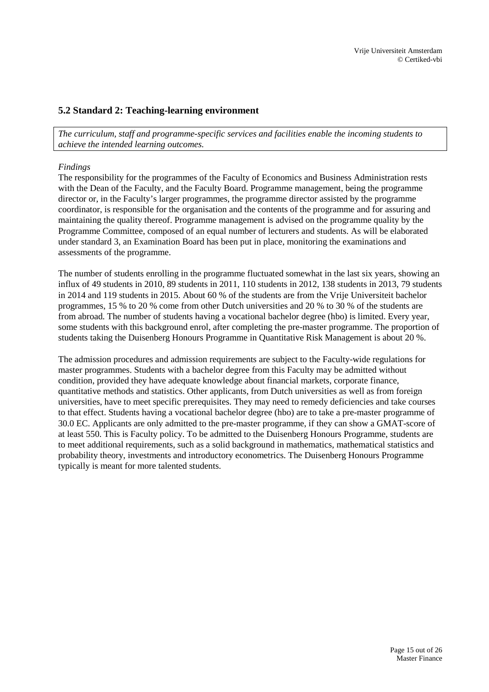## <span id="page-14-0"></span>**5.2 Standard 2: Teaching-learning environment**

*The curriculum, staff and programme-specific services and facilities enable the incoming students to achieve the intended learning outcomes.*

### *Findings*

The responsibility for the programmes of the Faculty of Economics and Business Administration rests with the Dean of the Faculty, and the Faculty Board. Programme management, being the programme director or, in the Faculty's larger programmes, the programme director assisted by the programme coordinator, is responsible for the organisation and the contents of the programme and for assuring and maintaining the quality thereof. Programme management is advised on the programme quality by the Programme Committee, composed of an equal number of lecturers and students. As will be elaborated under standard 3, an Examination Board has been put in place, monitoring the examinations and assessments of the programme.

The number of students enrolling in the programme fluctuated somewhat in the last six years, showing an influx of 49 students in 2010, 89 students in 2011, 110 students in 2012, 138 students in 2013, 79 students in 2014 and 119 students in 2015. About 60 % of the students are from the Vrije Universiteit bachelor programmes, 15 % to 20 % come from other Dutch universities and 20 % to 30 % of the students are from abroad. The number of students having a vocational bachelor degree (hbo) is limited. Every year, some students with this background enrol, after completing the pre-master programme. The proportion of students taking the Duisenberg Honours Programme in Quantitative Risk Management is about 20 %.

The admission procedures and admission requirements are subject to the Faculty-wide regulations for master programmes. Students with a bachelor degree from this Faculty may be admitted without condition, provided they have adequate knowledge about financial markets, corporate finance, quantitative methods and statistics. Other applicants, from Dutch universities as well as from foreign universities, have to meet specific prerequisites. They may need to remedy deficiencies and take courses to that effect. Students having a vocational bachelor degree (hbo) are to take a pre-master programme of 30.0 EC. Applicants are only admitted to the pre-master programme, if they can show a GMAT-score of at least 550. This is Faculty policy. To be admitted to the Duisenberg Honours Programme, students are to meet additional requirements, such as a solid background in mathematics, mathematical statistics and probability theory, investments and introductory econometrics. The Duisenberg Honours Programme typically is meant for more talented students.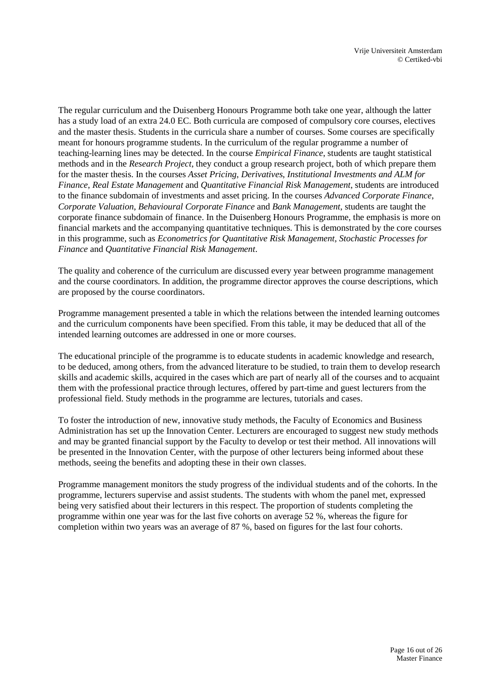The regular curriculum and the Duisenberg Honours Programme both take one year, although the latter has a study load of an extra 24.0 EC. Both curricula are composed of compulsory core courses, electives and the master thesis. Students in the curricula share a number of courses. Some courses are specifically meant for honours programme students. In the curriculum of the regular programme a number of teaching-learning lines may be detected. In the course *Empirical Finance*, students are taught statistical methods and in the *Research Project*, they conduct a group research project, both of which prepare them for the master thesis. In the courses *Asset Pricing*, *Derivatives*, *Institutional Investments and ALM for Finance*, *Real Estate Management* and *Quantitative Financial Risk Management*, students are introduced to the finance subdomain of investments and asset pricing. In the courses *Advanced Corporate Finance*, *Corporate Valuation*, *Behavioural Corporate Finance* and *Bank Management*, students are taught the corporate finance subdomain of finance. In the Duisenberg Honours Programme, the emphasis is more on financial markets and the accompanying quantitative techniques. This is demonstrated by the core courses in this programme, such as *Econometrics for Quantitative Risk Management*, *Stochastic Processes for Finance* and *Quantitative Financial Risk Management*.

The quality and coherence of the curriculum are discussed every year between programme management and the course coordinators. In addition, the programme director approves the course descriptions, which are proposed by the course coordinators.

Programme management presented a table in which the relations between the intended learning outcomes and the curriculum components have been specified. From this table, it may be deduced that all of the intended learning outcomes are addressed in one or more courses.

The educational principle of the programme is to educate students in academic knowledge and research, to be deduced, among others, from the advanced literature to be studied, to train them to develop research skills and academic skills, acquired in the cases which are part of nearly all of the courses and to acquaint them with the professional practice through lectures, offered by part-time and guest lecturers from the professional field. Study methods in the programme are lectures, tutorials and cases.

To foster the introduction of new, innovative study methods, the Faculty of Economics and Business Administration has set up the Innovation Center. Lecturers are encouraged to suggest new study methods and may be granted financial support by the Faculty to develop or test their method. All innovations will be presented in the Innovation Center, with the purpose of other lecturers being informed about these methods, seeing the benefits and adopting these in their own classes.

Programme management monitors the study progress of the individual students and of the cohorts. In the programme, lecturers supervise and assist students. The students with whom the panel met, expressed being very satisfied about their lecturers in this respect. The proportion of students completing the programme within one year was for the last five cohorts on average 52 %, whereas the figure for completion within two years was an average of 87 %, based on figures for the last four cohorts.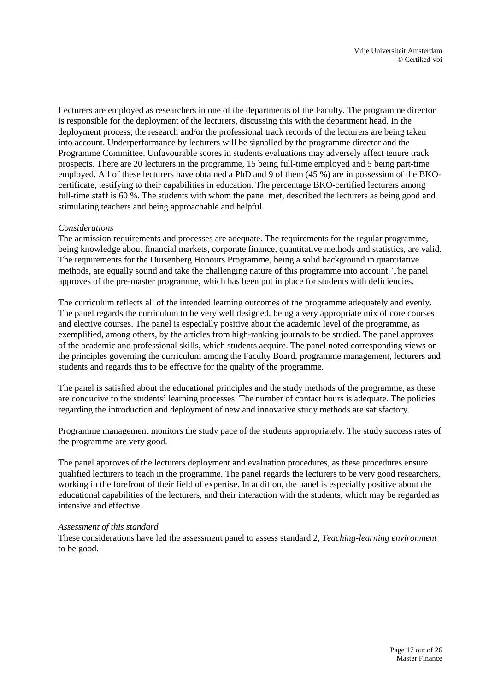Lecturers are employed as researchers in one of the departments of the Faculty. The programme director is responsible for the deployment of the lecturers, discussing this with the department head. In the deployment process, the research and/or the professional track records of the lecturers are being taken into account. Underperformance by lecturers will be signalled by the programme director and the Programme Committee. Unfavourable scores in students evaluations may adversely affect tenure track prospects. There are 20 lecturers in the programme, 15 being full-time employed and 5 being part-time employed. All of these lecturers have obtained a PhD and 9 of them (45 %) are in possession of the BKOcertificate, testifying to their capabilities in education. The percentage BKO-certified lecturers among full-time staff is 60 %. The students with whom the panel met, described the lecturers as being good and stimulating teachers and being approachable and helpful.

### *Considerations*

The admission requirements and processes are adequate. The requirements for the regular programme, being knowledge about financial markets, corporate finance, quantitative methods and statistics, are valid. The requirements for the Duisenberg Honours Programme, being a solid background in quantitative methods, are equally sound and take the challenging nature of this programme into account. The panel approves of the pre-master programme, which has been put in place for students with deficiencies.

The curriculum reflects all of the intended learning outcomes of the programme adequately and evenly. The panel regards the curriculum to be very well designed, being a very appropriate mix of core courses and elective courses. The panel is especially positive about the academic level of the programme, as exemplified, among others, by the articles from high-ranking journals to be studied. The panel approves of the academic and professional skills, which students acquire. The panel noted corresponding views on the principles governing the curriculum among the Faculty Board, programme management, lecturers and students and regards this to be effective for the quality of the programme.

The panel is satisfied about the educational principles and the study methods of the programme, as these are conducive to the students' learning processes. The number of contact hours is adequate. The policies regarding the introduction and deployment of new and innovative study methods are satisfactory.

Programme management monitors the study pace of the students appropriately. The study success rates of the programme are very good.

The panel approves of the lecturers deployment and evaluation procedures, as these procedures ensure qualified lecturers to teach in the programme. The panel regards the lecturers to be very good researchers, working in the forefront of their field of expertise. In addition, the panel is especially positive about the educational capabilities of the lecturers, and their interaction with the students, which may be regarded as intensive and effective.

### *Assessment of this standard*

These considerations have led the assessment panel to assess standard 2, *Teaching-learning environment* to be good.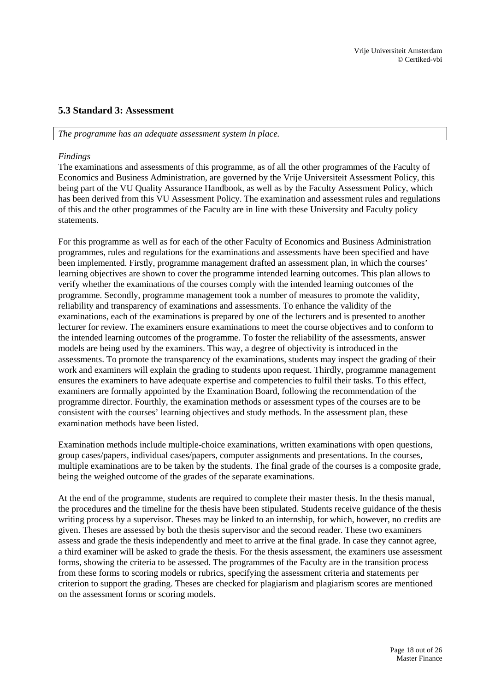## <span id="page-17-0"></span>**5.3 Standard 3: Assessment**

#### *The programme has an adequate assessment system in place.*

### *Findings*

The examinations and assessments of this programme, as of all the other programmes of the Faculty of Economics and Business Administration, are governed by the Vrije Universiteit Assessment Policy, this being part of the VU Quality Assurance Handbook, as well as by the Faculty Assessment Policy, which has been derived from this VU Assessment Policy. The examination and assessment rules and regulations of this and the other programmes of the Faculty are in line with these University and Faculty policy statements.

For this programme as well as for each of the other Faculty of Economics and Business Administration programmes, rules and regulations for the examinations and assessments have been specified and have been implemented. Firstly, programme management drafted an assessment plan, in which the courses' learning objectives are shown to cover the programme intended learning outcomes. This plan allows to verify whether the examinations of the courses comply with the intended learning outcomes of the programme. Secondly, programme management took a number of measures to promote the validity, reliability and transparency of examinations and assessments. To enhance the validity of the examinations, each of the examinations is prepared by one of the lecturers and is presented to another lecturer for review. The examiners ensure examinations to meet the course objectives and to conform to the intended learning outcomes of the programme. To foster the reliability of the assessments, answer models are being used by the examiners. This way, a degree of objectivity is introduced in the assessments. To promote the transparency of the examinations, students may inspect the grading of their work and examiners will explain the grading to students upon request. Thirdly, programme management ensures the examiners to have adequate expertise and competencies to fulfil their tasks. To this effect, examiners are formally appointed by the Examination Board, following the recommendation of the programme director. Fourthly, the examination methods or assessment types of the courses are to be consistent with the courses' learning objectives and study methods. In the assessment plan, these examination methods have been listed.

Examination methods include multiple-choice examinations, written examinations with open questions, group cases/papers, individual cases/papers, computer assignments and presentations. In the courses, multiple examinations are to be taken by the students. The final grade of the courses is a composite grade, being the weighed outcome of the grades of the separate examinations.

At the end of the programme, students are required to complete their master thesis. In the thesis manual, the procedures and the timeline for the thesis have been stipulated. Students receive guidance of the thesis writing process by a supervisor. Theses may be linked to an internship, for which, however, no credits are given. Theses are assessed by both the thesis supervisor and the second reader. These two examiners assess and grade the thesis independently and meet to arrive at the final grade. In case they cannot agree, a third examiner will be asked to grade the thesis. For the thesis assessment, the examiners use assessment forms, showing the criteria to be assessed. The programmes of the Faculty are in the transition process from these forms to scoring models or rubrics, specifying the assessment criteria and statements per criterion to support the grading. Theses are checked for plagiarism and plagiarism scores are mentioned on the assessment forms or scoring models.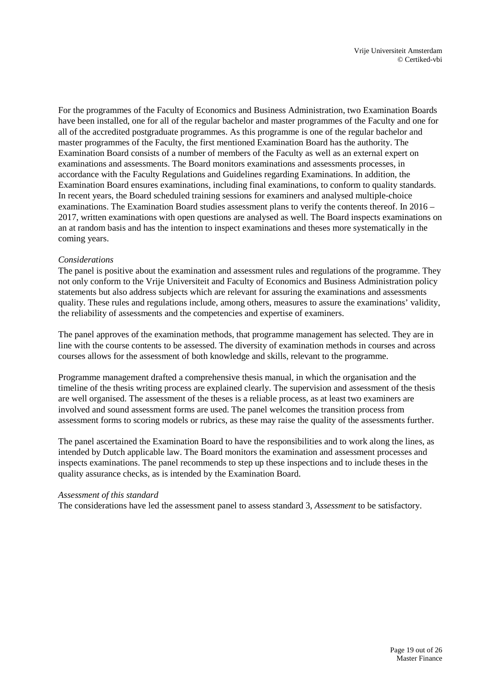For the programmes of the Faculty of Economics and Business Administration, two Examination Boards have been installed, one for all of the regular bachelor and master programmes of the Faculty and one for all of the accredited postgraduate programmes. As this programme is one of the regular bachelor and master programmes of the Faculty, the first mentioned Examination Board has the authority. The Examination Board consists of a number of members of the Faculty as well as an external expert on examinations and assessments. The Board monitors examinations and assessments processes, in accordance with the Faculty Regulations and Guidelines regarding Examinations. In addition, the Examination Board ensures examinations, including final examinations, to conform to quality standards. In recent years, the Board scheduled training sessions for examiners and analysed multiple-choice examinations. The Examination Board studies assessment plans to verify the contents thereof. In 2016 – 2017, written examinations with open questions are analysed as well. The Board inspects examinations on an at random basis and has the intention to inspect examinations and theses more systematically in the coming years.

### *Considerations*

The panel is positive about the examination and assessment rules and regulations of the programme. They not only conform to the Vrije Universiteit and Faculty of Economics and Business Administration policy statements but also address subjects which are relevant for assuring the examinations and assessments quality. These rules and regulations include, among others, measures to assure the examinations' validity, the reliability of assessments and the competencies and expertise of examiners.

The panel approves of the examination methods, that programme management has selected. They are in line with the course contents to be assessed. The diversity of examination methods in courses and across courses allows for the assessment of both knowledge and skills, relevant to the programme.

Programme management drafted a comprehensive thesis manual, in which the organisation and the timeline of the thesis writing process are explained clearly. The supervision and assessment of the thesis are well organised. The assessment of the theses is a reliable process, as at least two examiners are involved and sound assessment forms are used. The panel welcomes the transition process from assessment forms to scoring models or rubrics, as these may raise the quality of the assessments further.

The panel ascertained the Examination Board to have the responsibilities and to work along the lines, as intended by Dutch applicable law. The Board monitors the examination and assessment processes and inspects examinations. The panel recommends to step up these inspections and to include theses in the quality assurance checks, as is intended by the Examination Board.

### *Assessment of this standard*

The considerations have led the assessment panel to assess standard 3, *Assessment* to be satisfactory.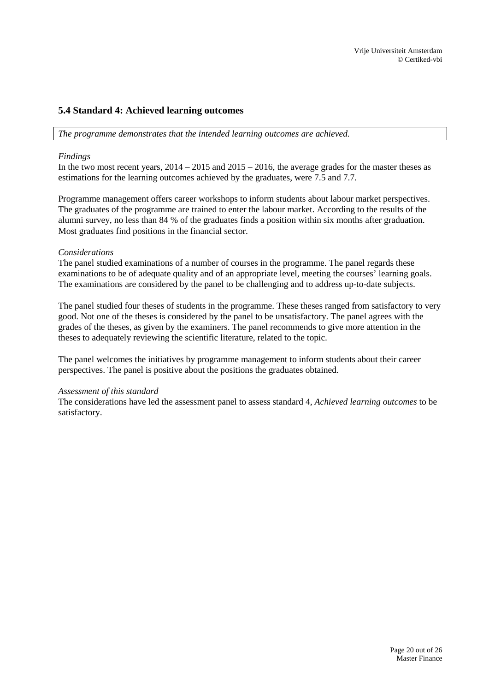## <span id="page-19-0"></span>**5.4 Standard 4: Achieved learning outcomes**

*The programme demonstrates that the intended learning outcomes are achieved.*

### *Findings*

In the two most recent years,  $2014 - 2015$  and  $2015 - 2016$ , the average grades for the master theses as estimations for the learning outcomes achieved by the graduates, were 7.5 and 7.7.

Programme management offers career workshops to inform students about labour market perspectives. The graduates of the programme are trained to enter the labour market. According to the results of the alumni survey, no less than 84 % of the graduates finds a position within six months after graduation. Most graduates find positions in the financial sector.

### *Considerations*

The panel studied examinations of a number of courses in the programme. The panel regards these examinations to be of adequate quality and of an appropriate level, meeting the courses' learning goals. The examinations are considered by the panel to be challenging and to address up-to-date subjects.

The panel studied four theses of students in the programme. These theses ranged from satisfactory to very good. Not one of the theses is considered by the panel to be unsatisfactory. The panel agrees with the grades of the theses, as given by the examiners. The panel recommends to give more attention in the theses to adequately reviewing the scientific literature, related to the topic.

The panel welcomes the initiatives by programme management to inform students about their career perspectives. The panel is positive about the positions the graduates obtained.

### *Assessment of this standard*

The considerations have led the assessment panel to assess standard 4, *Achieved learning outcomes* to be satisfactory.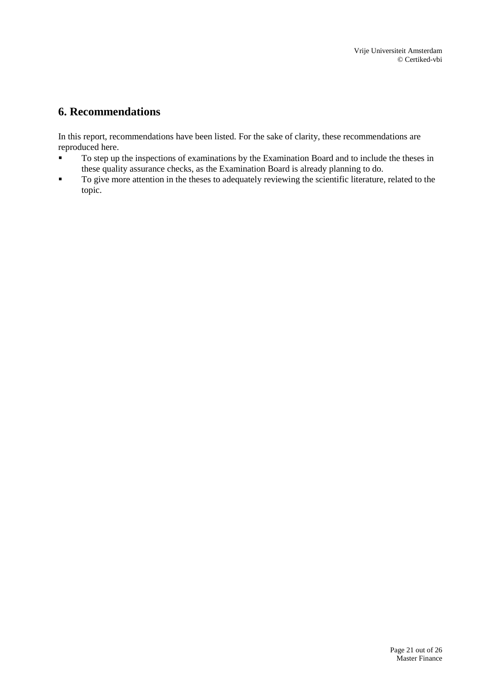## <span id="page-20-0"></span>**6. Recommendations**

In this report, recommendations have been listed. For the sake of clarity, these recommendations are reproduced here.

- To step up the inspections of examinations by the Examination Board and to include the theses in these quality assurance checks, as the Examination Board is already planning to do.
- To give more attention in the theses to adequately reviewing the scientific literature, related to the topic.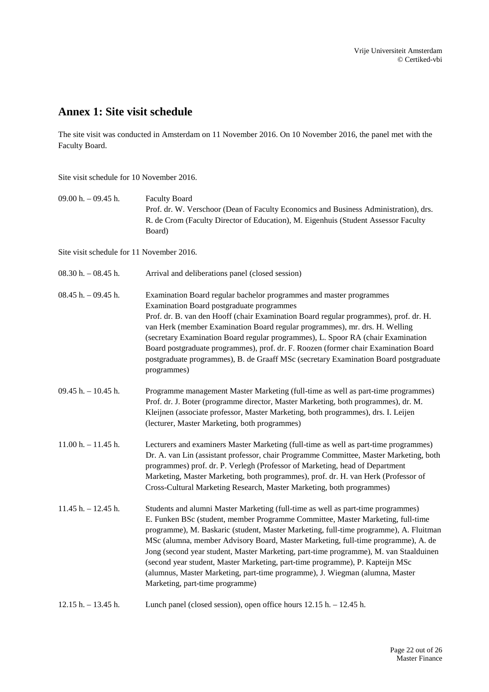## <span id="page-21-0"></span>**Annex 1: Site visit schedule**

The site visit was conducted in Amsterdam on 11 November 2016. On 10 November 2016, the panel met with the Faculty Board.

Site visit schedule for 10 November 2016.

09.00 h. – 09.45 h. Faculty Board Prof. dr. W. Verschoor (Dean of Faculty Economics and Business Administration), drs. R. de Crom (Faculty Director of Education), M. Eigenhuis (Student Assessor Faculty Board)

Site visit schedule for 11 November 2016.

| $08.30$ h. $-08.45$ h. | Arrival and deliberations panel (closed session)                                                                                                                                                                                                                                                                                                                                                                                                                                                                                                                                                                                               |
|------------------------|------------------------------------------------------------------------------------------------------------------------------------------------------------------------------------------------------------------------------------------------------------------------------------------------------------------------------------------------------------------------------------------------------------------------------------------------------------------------------------------------------------------------------------------------------------------------------------------------------------------------------------------------|
| $08.45 h. - 09.45 h.$  | Examination Board regular bachelor programmes and master programmes<br>Examination Board postgraduate programmes<br>Prof. dr. B. van den Hooff (chair Examination Board regular programmes), prof. dr. H.<br>van Herk (member Examination Board regular programmes), mr. drs. H. Welling<br>(secretary Examination Board regular programmes), L. Spoor RA (chair Examination<br>Board postgraduate programmes), prof. dr. F. Roozen (former chair Examination Board<br>postgraduate programmes), B. de Graaff MSc (secretary Examination Board postgraduate<br>programmes)                                                                     |
| $09.45 h. - 10.45 h.$  | Programme management Master Marketing (full-time as well as part-time programmes)<br>Prof. dr. J. Boter (programme director, Master Marketing, both programmes), dr. M.<br>Kleijnen (associate professor, Master Marketing, both programmes), drs. I. Leijen<br>(lecturer, Master Marketing, both programmes)                                                                                                                                                                                                                                                                                                                                  |
| $11.00 h. - 11.45 h.$  | Lecturers and examiners Master Marketing (full-time as well as part-time programmes)<br>Dr. A. van Lin (assistant professor, chair Programme Committee, Master Marketing, both<br>programmes) prof. dr. P. Verlegh (Professor of Marketing, head of Department<br>Marketing, Master Marketing, both programmes), prof. dr. H. van Herk (Professor of<br>Cross-Cultural Marketing Research, Master Marketing, both programmes)                                                                                                                                                                                                                  |
| $11.45 h. - 12.45 h.$  | Students and alumni Master Marketing (full-time as well as part-time programmes)<br>E. Funken BSc (student, member Programme Committee, Master Marketing, full-time<br>programme), M. Baskaric (student, Master Marketing, full-time programme), A. Fluitman<br>MSc (alumna, member Advisory Board, Master Marketing, full-time programme), A. de<br>Jong (second year student, Master Marketing, part-time programme), M. van Staalduinen<br>(second year student, Master Marketing, part-time programme), P. Kapteijn MSc<br>(alumnus, Master Marketing, part-time programme), J. Wiegman (alumna, Master<br>Marketing, part-time programme) |
| $12.15 h. - 13.45 h.$  | Lunch panel (closed session), open office hours 12.15 h. - 12.45 h.                                                                                                                                                                                                                                                                                                                                                                                                                                                                                                                                                                            |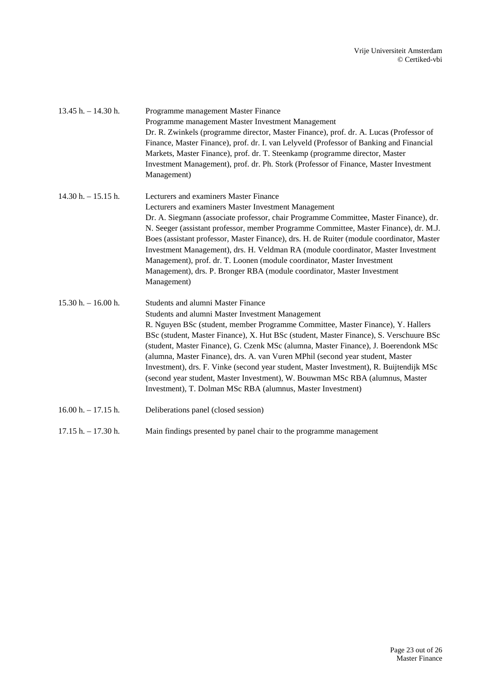| $13.45$ h. $- 14.30$ h. | Programme management Master Finance<br>Programme management Master Investment Management<br>Dr. R. Zwinkels (programme director, Master Finance), prof. dr. A. Lucas (Professor of<br>Finance, Master Finance), prof. dr. I. van Lelyveld (Professor of Banking and Financial<br>Markets, Master Finance), prof. dr. T. Steenkamp (programme director, Master<br>Investment Management), prof. dr. Ph. Stork (Professor of Finance, Master Investment<br>Management)                                                                                                                                                                                                                           |
|-------------------------|------------------------------------------------------------------------------------------------------------------------------------------------------------------------------------------------------------------------------------------------------------------------------------------------------------------------------------------------------------------------------------------------------------------------------------------------------------------------------------------------------------------------------------------------------------------------------------------------------------------------------------------------------------------------------------------------|
| $14.30 h. - 15.15 h.$   | Lecturers and examiners Master Finance<br>Lecturers and examiners Master Investment Management<br>Dr. A. Siegmann (associate professor, chair Programme Committee, Master Finance), dr.<br>N. Seeger (assistant professor, member Programme Committee, Master Finance), dr. M.J.<br>Boes (assistant professor, Master Finance), drs. H. de Ruiter (module coordinator, Master<br>Investment Management), drs. H. Veldman RA (module coordinator, Master Investment<br>Management), prof. dr. T. Loonen (module coordinator, Master Investment<br>Management), drs. P. Bronger RBA (module coordinator, Master Investment<br>Management)                                                        |
| $15.30 h. - 16.00 h.$   | <b>Students and alumni Master Finance</b><br>Students and alumni Master Investment Management<br>R. Nguyen BSc (student, member Programme Committee, Master Finance), Y. Hallers<br>BSc (student, Master Finance), X. Hut BSc (student, Master Finance), S. Verschuure BSc<br>(student, Master Finance), G. Czenk MSc (alumna, Master Finance), J. Boerendonk MSc<br>(alumna, Master Finance), drs. A. van Vuren MPhil (second year student, Master<br>Investment), drs. F. Vinke (second year student, Master Investment), R. Buijtendijk MSc<br>(second year student, Master Investment), W. Bouwman MSc RBA (alumnus, Master<br>Investment), T. Dolman MSc RBA (alumnus, Master Investment) |
| $16.00 h. - 17.15 h.$   | Deliberations panel (closed session)                                                                                                                                                                                                                                                                                                                                                                                                                                                                                                                                                                                                                                                           |
| $17.15 h. - 17.30 h.$   | Main findings presented by panel chair to the programme management                                                                                                                                                                                                                                                                                                                                                                                                                                                                                                                                                                                                                             |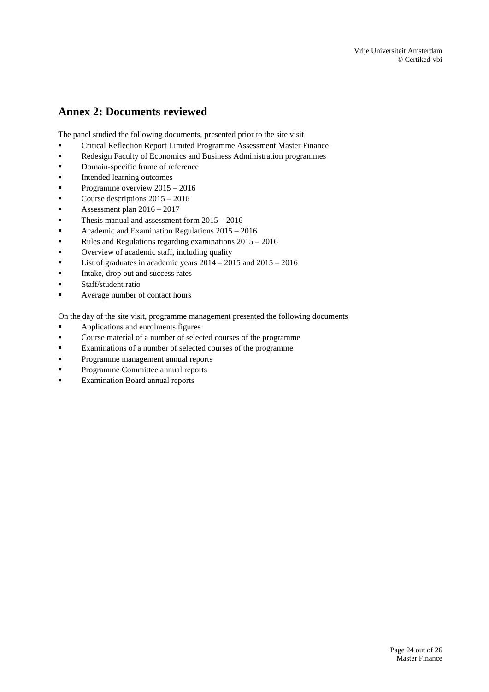# <span id="page-23-0"></span>**Annex 2: Documents reviewed**

The panel studied the following documents, presented prior to the site visit

- Critical Reflection Report Limited Programme Assessment Master Finance
- **Redesign Faculty of Economics and Business Administration programmes**
- **•** Domain-specific frame of reference
- **Intended learning outcomes**
- Programme overview  $2015 2016$
- Course descriptions 2015 2016
- Assessment plan  $2016 2017$
- **Thesis manual and assessment form**  $2015 2016$
- Academic and Examination Regulations  $2015 2016$
- Rules and Regulations regarding examinations  $2015 2016$
- **•** Overview of academic staff, including quality
- **List of graduates in academic years**  $2014 2015$  **and**  $2015 2016$
- Intake, drop out and success rates
- **Staff**/student ratio
- Average number of contact hours
- On the day of the site visit, programme management presented the following documents
- Applications and enrolments figures
- Course material of a number of selected courses of the programme
- Examinations of a number of selected courses of the programme
- **Programme management annual reports**
- Programme Committee annual reports
- **Examination Board annual reports**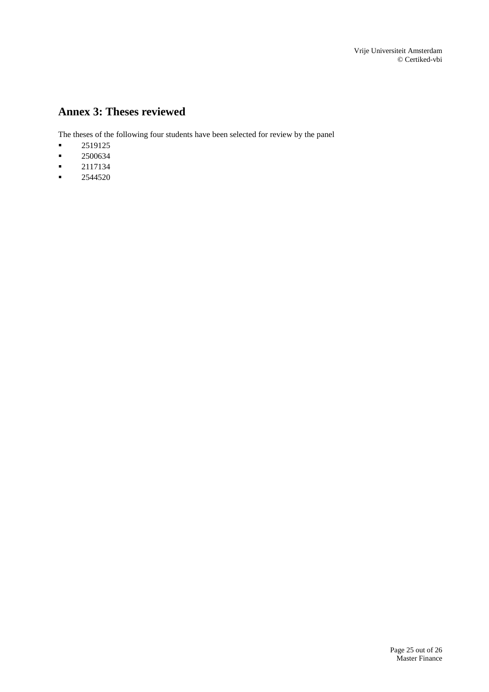Vrije Universiteit Amsterdam © Certiked-vbi

# <span id="page-24-0"></span>**Annex 3: Theses reviewed**

The theses of the following four students have been selected for review by the panel

- 2519125
- 2500634
- 2117134
- $-2544520$